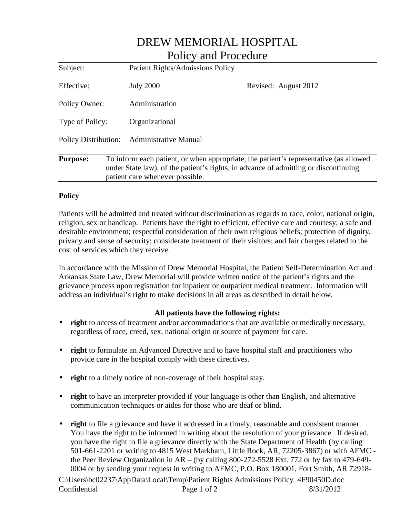| Policy and Procedure |  |                                                                                                                                                                                                                 |                      |  |
|----------------------|--|-----------------------------------------------------------------------------------------------------------------------------------------------------------------------------------------------------------------|----------------------|--|
| Subject:             |  | <b>Patient Rights/Admissions Policy</b>                                                                                                                                                                         |                      |  |
| Effective:           |  | <b>July 2000</b>                                                                                                                                                                                                | Revised: August 2012 |  |
| Policy Owner:        |  | Administration                                                                                                                                                                                                  |                      |  |
| Type of Policy:      |  | Organizational                                                                                                                                                                                                  |                      |  |
| Policy Distribution: |  | <b>Administrative Manual</b>                                                                                                                                                                                    |                      |  |
| <b>Purpose:</b>      |  | To inform each patient, or when appropriate, the patient's representative (as allowed<br>under State law), of the patient's rights, in advance of admitting or discontinuing<br>patient care whenever possible. |                      |  |

DREW MEMORIAL HOSPITAL

## **Policy**

Patients will be admitted and treated without discrimination as regards to race, color, national origin, religion, sex or handicap. Patients have the right to efficient, effective care and courtesy; a safe and desirable environment; respectful consideration of their own religious beliefs; protection of dignity, privacy and sense of security; considerate treatment of their visitors; and fair charges related to the cost of services which they receive.

In accordance with the Mission of Drew Memorial Hospital, the Patient Self-Determination Act and Arkansas State Law, Drew Memorial will provide written notice of the patient's rights and the grievance process upon registration for inpatient or outpatient medical treatment. Information will address an individual's right to make decisions in all areas as described in detail below.

## **All patients have the following rights:**

- **right** to access of treatment and/or accommodations that are available or medically necessary, regardless of race, creed, sex, national origin or source of payment for care.
- **right** to formulate an Advanced Directive and to have hospital staff and practitioners who provide care in the hospital comply with these directives.
- **right** to a timely notice of non-coverage of their hospital stay.
- **right** to have an interpreter provided if your language is other than English, and alternative communication techniques or aides for those who are deaf or blind.
- **right** to file a grievance and have it addressed in a timely, reasonable and consistent manner. You have the right to be informed in writing about the resolution of your grievance. If desired, you have the right to file a grievance directly with the State Department of Health (by calling 501-661-2201 or writing to 4815 West Markham, Little Rock, AR, 72205-3867) or with AFMC the Peer Review Organization in AR – (by calling 800-272-5528 Ext. 772 or by fax to 479-649- 0004 or by sending your request in writing to AFMC, P.O. Box 180001, Fort Smith, AR 72918-

C:\Users\bc02237\AppData\Local\Temp\Patient Rights Admissions Policy\_4F90450D.doc Confidential Page 1 of 2 8/31/2012